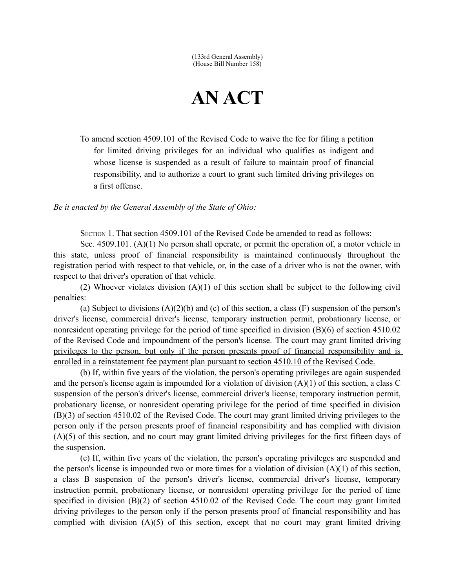(133rd General Assembly) (House Bill Number 158)

## **AN ACT**

To amend section 4509.101 of the Revised Code to waive the fee for filing a petition for limited driving privileges for an individual who qualifies as indigent and whose license is suspended as a result of failure to maintain proof of financial responsibility, and to authorize a court to grant such limited driving privileges on a first offense.

*Be it enacted by the General Assembly of the State of Ohio:*

SECTION 1. That section 4509.101 of the Revised Code be amended to read as follows:

Sec. 4509.101. (A)(1) No person shall operate, or permit the operation of, a motor vehicle in this state, unless proof of financial responsibility is maintained continuously throughout the registration period with respect to that vehicle, or, in the case of a driver who is not the owner, with respect to that driver's operation of that vehicle.

(2) Whoever violates division  $(A)(1)$  of this section shall be subject to the following civil penalties:

(a) Subject to divisions  $(A)(2)(b)$  and (c) of this section, a class  $(F)$  suspension of the person's driver's license, commercial driver's license, temporary instruction permit, probationary license, or nonresident operating privilege for the period of time specified in division (B)(6) of section 4510.02 of the Revised Code and impoundment of the person's license. The court may grant limited driving privileges to the person, but only if the person presents proof of financial responsibility and is enrolled in a reinstatement fee payment plan pursuant to section 4510.10 of the Revised Code.

(b) If, within five years of the violation, the person's operating privileges are again suspended and the person's license again is impounded for a violation of division (A)(1) of this section, a class C suspension of the person's driver's license, commercial driver's license, temporary instruction permit, probationary license, or nonresident operating privilege for the period of time specified in division (B)(3) of section 4510.02 of the Revised Code. The court may grant limited driving privileges to the person only if the person presents proof of financial responsibility and has complied with division (A)(5) of this section, and no court may grant limited driving privileges for the first fifteen days of the suspension.

(c) If, within five years of the violation, the person's operating privileges are suspended and the person's license is impounded two or more times for a violation of division  $(A)(1)$  of this section, a class B suspension of the person's driver's license, commercial driver's license, temporary instruction permit, probationary license, or nonresident operating privilege for the period of time specified in division (B)(2) of section 4510.02 of the Revised Code. The court may grant limited driving privileges to the person only if the person presents proof of financial responsibility and has complied with division (A)(5) of this section, except that no court may grant limited driving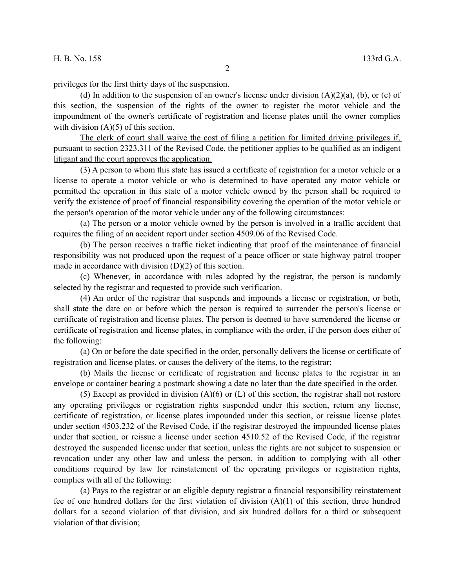2

privileges for the first thirty days of the suspension.

(d) In addition to the suspension of an owner's license under division  $(A)(2)(a)$ , (b), or (c) of this section, the suspension of the rights of the owner to register the motor vehicle and the impoundment of the owner's certificate of registration and license plates until the owner complies with division  $(A)(5)$  of this section.

The clerk of court shall waive the cost of filing a petition for limited driving privileges if, pursuant to section 2323.311 of the Revised Code, the petitioner applies to be qualified as an indigent litigant and the court approves the application.

(3) A person to whom this state has issued a certificate of registration for a motor vehicle or a license to operate a motor vehicle or who is determined to have operated any motor vehicle or permitted the operation in this state of a motor vehicle owned by the person shall be required to verify the existence of proof of financial responsibility covering the operation of the motor vehicle or the person's operation of the motor vehicle under any of the following circumstances:

(a) The person or a motor vehicle owned by the person is involved in a traffic accident that requires the filing of an accident report under section 4509.06 of the Revised Code.

(b) The person receives a traffic ticket indicating that proof of the maintenance of financial responsibility was not produced upon the request of a peace officer or state highway patrol trooper made in accordance with division (D)(2) of this section.

(c) Whenever, in accordance with rules adopted by the registrar, the person is randomly selected by the registrar and requested to provide such verification.

(4) An order of the registrar that suspends and impounds a license or registration, or both, shall state the date on or before which the person is required to surrender the person's license or certificate of registration and license plates. The person is deemed to have surrendered the license or certificate of registration and license plates, in compliance with the order, if the person does either of the following:

(a) On or before the date specified in the order, personally delivers the license or certificate of registration and license plates, or causes the delivery of the items, to the registrar;

(b) Mails the license or certificate of registration and license plates to the registrar in an envelope or container bearing a postmark showing a date no later than the date specified in the order.

(5) Except as provided in division (A)(6) or (L) of this section, the registrar shall not restore any operating privileges or registration rights suspended under this section, return any license, certificate of registration, or license plates impounded under this section, or reissue license plates under section 4503.232 of the Revised Code, if the registrar destroyed the impounded license plates under that section, or reissue a license under section 4510.52 of the Revised Code, if the registrar destroyed the suspended license under that section, unless the rights are not subject to suspension or revocation under any other law and unless the person, in addition to complying with all other conditions required by law for reinstatement of the operating privileges or registration rights, complies with all of the following:

(a) Pays to the registrar or an eligible deputy registrar a financial responsibility reinstatement fee of one hundred dollars for the first violation of division (A)(1) of this section, three hundred dollars for a second violation of that division, and six hundred dollars for a third or subsequent violation of that division;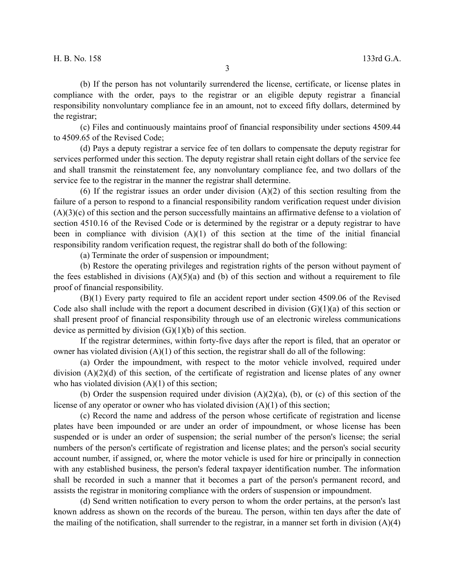(b) If the person has not voluntarily surrendered the license, certificate, or license plates in compliance with the order, pays to the registrar or an eligible deputy registrar a financial responsibility nonvoluntary compliance fee in an amount, not to exceed fifty dollars, determined by the registrar;

(c) Files and continuously maintains proof of financial responsibility under sections 4509.44 to 4509.65 of the Revised Code;

(d) Pays a deputy registrar a service fee of ten dollars to compensate the deputy registrar for services performed under this section. The deputy registrar shall retain eight dollars of the service fee and shall transmit the reinstatement fee, any nonvoluntary compliance fee, and two dollars of the service fee to the registrar in the manner the registrar shall determine.

(6) If the registrar issues an order under division  $(A)(2)$  of this section resulting from the failure of a person to respond to a financial responsibility random verification request under division (A)(3)(c) of this section and the person successfully maintains an affirmative defense to a violation of section 4510.16 of the Revised Code or is determined by the registrar or a deputy registrar to have been in compliance with division (A)(1) of this section at the time of the initial financial responsibility random verification request, the registrar shall do both of the following:

(a) Terminate the order of suspension or impoundment;

(b) Restore the operating privileges and registration rights of the person without payment of the fees established in divisions  $(A)(5)(a)$  and (b) of this section and without a requirement to file proof of financial responsibility.

(B)(1) Every party required to file an accident report under section 4509.06 of the Revised Code also shall include with the report a document described in division  $(G)(1)(a)$  of this section or shall present proof of financial responsibility through use of an electronic wireless communications device as permitted by division  $(G)(1)(b)$  of this section.

If the registrar determines, within forty-five days after the report is filed, that an operator or owner has violated division (A)(1) of this section, the registrar shall do all of the following:

(a) Order the impoundment, with respect to the motor vehicle involved, required under division (A)(2)(d) of this section, of the certificate of registration and license plates of any owner who has violated division  $(A)(1)$  of this section;

(b) Order the suspension required under division  $(A)(2)(a)$ ,  $(b)$ , or  $(c)$  of this section of the license of any operator or owner who has violated division (A)(1) of this section;

(c) Record the name and address of the person whose certificate of registration and license plates have been impounded or are under an order of impoundment, or whose license has been suspended or is under an order of suspension; the serial number of the person's license; the serial numbers of the person's certificate of registration and license plates; and the person's social security account number, if assigned, or, where the motor vehicle is used for hire or principally in connection with any established business, the person's federal taxpayer identification number. The information shall be recorded in such a manner that it becomes a part of the person's permanent record, and assists the registrar in monitoring compliance with the orders of suspension or impoundment.

(d) Send written notification to every person to whom the order pertains, at the person's last known address as shown on the records of the bureau. The person, within ten days after the date of the mailing of the notification, shall surrender to the registrar, in a manner set forth in division (A)(4)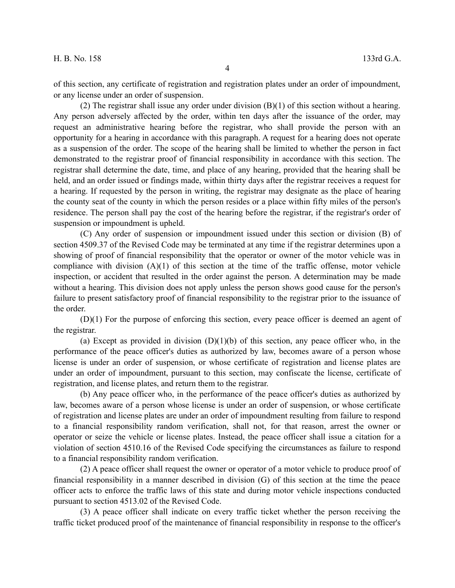of this section, any certificate of registration and registration plates under an order of impoundment, or any license under an order of suspension.

(2) The registrar shall issue any order under division (B)(1) of this section without a hearing. Any person adversely affected by the order, within ten days after the issuance of the order, may request an administrative hearing before the registrar, who shall provide the person with an opportunity for a hearing in accordance with this paragraph. A request for a hearing does not operate as a suspension of the order. The scope of the hearing shall be limited to whether the person in fact demonstrated to the registrar proof of financial responsibility in accordance with this section. The registrar shall determine the date, time, and place of any hearing, provided that the hearing shall be held, and an order issued or findings made, within thirty days after the registrar receives a request for a hearing. If requested by the person in writing, the registrar may designate as the place of hearing the county seat of the county in which the person resides or a place within fifty miles of the person's residence. The person shall pay the cost of the hearing before the registrar, if the registrar's order of suspension or impoundment is upheld.

(C) Any order of suspension or impoundment issued under this section or division (B) of section 4509.37 of the Revised Code may be terminated at any time if the registrar determines upon a showing of proof of financial responsibility that the operator or owner of the motor vehicle was in compliance with division (A)(1) of this section at the time of the traffic offense, motor vehicle inspection, or accident that resulted in the order against the person. A determination may be made without a hearing. This division does not apply unless the person shows good cause for the person's failure to present satisfactory proof of financial responsibility to the registrar prior to the issuance of the order.

(D)(1) For the purpose of enforcing this section, every peace officer is deemed an agent of the registrar.

(a) Except as provided in division  $(D)(1)(b)$  of this section, any peace officer who, in the performance of the peace officer's duties as authorized by law, becomes aware of a person whose license is under an order of suspension, or whose certificate of registration and license plates are under an order of impoundment, pursuant to this section, may confiscate the license, certificate of registration, and license plates, and return them to the registrar.

(b) Any peace officer who, in the performance of the peace officer's duties as authorized by law, becomes aware of a person whose license is under an order of suspension, or whose certificate of registration and license plates are under an order of impoundment resulting from failure to respond to a financial responsibility random verification, shall not, for that reason, arrest the owner or operator or seize the vehicle or license plates. Instead, the peace officer shall issue a citation for a violation of section 4510.16 of the Revised Code specifying the circumstances as failure to respond to a financial responsibility random verification.

(2) A peace officer shall request the owner or operator of a motor vehicle to produce proof of financial responsibility in a manner described in division (G) of this section at the time the peace officer acts to enforce the traffic laws of this state and during motor vehicle inspections conducted pursuant to section 4513.02 of the Revised Code.

(3) A peace officer shall indicate on every traffic ticket whether the person receiving the traffic ticket produced proof of the maintenance of financial responsibility in response to the officer's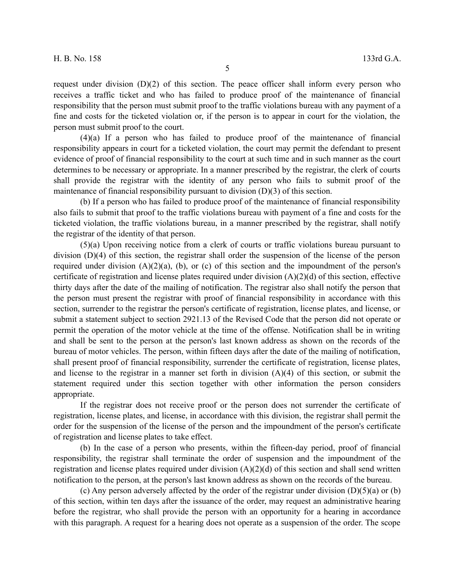request under division (D)(2) of this section. The peace officer shall inform every person who receives a traffic ticket and who has failed to produce proof of the maintenance of financial responsibility that the person must submit proof to the traffic violations bureau with any payment of a fine and costs for the ticketed violation or, if the person is to appear in court for the violation, the person must submit proof to the court.

(4)(a) If a person who has failed to produce proof of the maintenance of financial responsibility appears in court for a ticketed violation, the court may permit the defendant to present evidence of proof of financial responsibility to the court at such time and in such manner as the court determines to be necessary or appropriate. In a manner prescribed by the registrar, the clerk of courts shall provide the registrar with the identity of any person who fails to submit proof of the maintenance of financial responsibility pursuant to division (D)(3) of this section.

(b) If a person who has failed to produce proof of the maintenance of financial responsibility also fails to submit that proof to the traffic violations bureau with payment of a fine and costs for the ticketed violation, the traffic violations bureau, in a manner prescribed by the registrar, shall notify the registrar of the identity of that person.

(5)(a) Upon receiving notice from a clerk of courts or traffic violations bureau pursuant to division (D)(4) of this section, the registrar shall order the suspension of the license of the person required under division  $(A)(2)(a)$ ,  $(b)$ , or  $(c)$  of this section and the impoundment of the person's certificate of registration and license plates required under division (A)(2)(d) of this section, effective thirty days after the date of the mailing of notification. The registrar also shall notify the person that the person must present the registrar with proof of financial responsibility in accordance with this section, surrender to the registrar the person's certificate of registration, license plates, and license, or submit a statement subject to section 2921.13 of the Revised Code that the person did not operate or permit the operation of the motor vehicle at the time of the offense. Notification shall be in writing and shall be sent to the person at the person's last known address as shown on the records of the bureau of motor vehicles. The person, within fifteen days after the date of the mailing of notification, shall present proof of financial responsibility, surrender the certificate of registration, license plates, and license to the registrar in a manner set forth in division  $(A)(4)$  of this section, or submit the statement required under this section together with other information the person considers appropriate.

If the registrar does not receive proof or the person does not surrender the certificate of registration, license plates, and license, in accordance with this division, the registrar shall permit the order for the suspension of the license of the person and the impoundment of the person's certificate of registration and license plates to take effect.

(b) In the case of a person who presents, within the fifteen-day period, proof of financial responsibility, the registrar shall terminate the order of suspension and the impoundment of the registration and license plates required under division  $(A)(2)(d)$  of this section and shall send written notification to the person, at the person's last known address as shown on the records of the bureau.

(c) Any person adversely affected by the order of the registrar under division  $(D)(5)(a)$  or (b) of this section, within ten days after the issuance of the order, may request an administrative hearing before the registrar, who shall provide the person with an opportunity for a hearing in accordance with this paragraph. A request for a hearing does not operate as a suspension of the order. The scope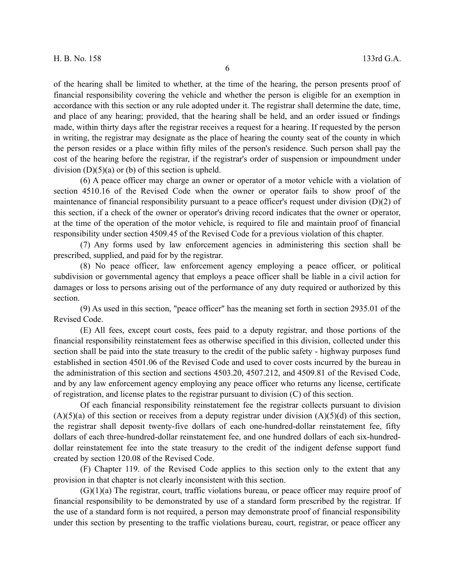of the hearing shall be limited to whether, at the time of the hearing, the person presents proof of financial responsibility covering the vehicle and whether the person is eligible for an exemption in accordance with this section or any rule adopted under it. The registrar shall determine the date, time, and place of any hearing; provided, that the hearing shall be held, and an order issued or findings made, within thirty days after the registrar receives a request for a hearing. If requested by the person in writing, the registrar may designate as the place of hearing the county seat of the county in which the person resides or a place within fifty miles of the person's residence. Such person shall pay the cost of the hearing before the registrar, if the registrar's order of suspension or impoundment under division  $(D)(5)(a)$  or (b) of this section is upheld.

(6) A peace officer may charge an owner or operator of a motor vehicle with a violation of section 4510.16 of the Revised Code when the owner or operator fails to show proof of the maintenance of financial responsibility pursuant to a peace officer's request under division (D)(2) of this section, if a check of the owner or operator's driving record indicates that the owner or operator, at the time of the operation of the motor vehicle, is required to file and maintain proof of financial responsibility under section 4509.45 of the Revised Code for a previous violation of this chapter.

(7) Any forms used by law enforcement agencies in administering this section shall be prescribed, supplied, and paid for by the registrar.

(8) No peace officer, law enforcement agency employing a peace officer, or political subdivision or governmental agency that employs a peace officer shall be liable in a civil action for damages or loss to persons arising out of the performance of any duty required or authorized by this section.

(9) As used in this section, "peace officer" has the meaning set forth in section 2935.01 of the Revised Code.

(E) All fees, except court costs, fees paid to a deputy registrar, and those portions of the financial responsibility reinstatement fees as otherwise specified in this division, collected under this section shall be paid into the state treasury to the credit of the public safety - highway purposes fund established in section 4501.06 of the Revised Code and used to cover costs incurred by the bureau in the administration of this section and sections 4503.20, 4507.212, and 4509.81 of the Revised Code, and by any law enforcement agency employing any peace officer who returns any license, certificate of registration, and license plates to the registrar pursuant to division (C) of this section.

Of each financial responsibility reinstatement fee the registrar collects pursuant to division  $(A)(5)(a)$  of this section or receives from a deputy registrar under division  $(A)(5)(d)$  of this section, the registrar shall deposit twenty-five dollars of each one-hundred-dollar reinstatement fee, fifty dollars of each three-hundred-dollar reinstatement fee, and one hundred dollars of each six-hundreddollar reinstatement fee into the state treasury to the credit of the indigent defense support fund created by section 120.08 of the Revised Code.

(F) Chapter 119. of the Revised Code applies to this section only to the extent that any provision in that chapter is not clearly inconsistent with this section.

(G)(1)(a) The registrar, court, traffic violations bureau, or peace officer may require proof of financial responsibility to be demonstrated by use of a standard form prescribed by the registrar. If the use of a standard form is not required, a person may demonstrate proof of financial responsibility under this section by presenting to the traffic violations bureau, court, registrar, or peace officer any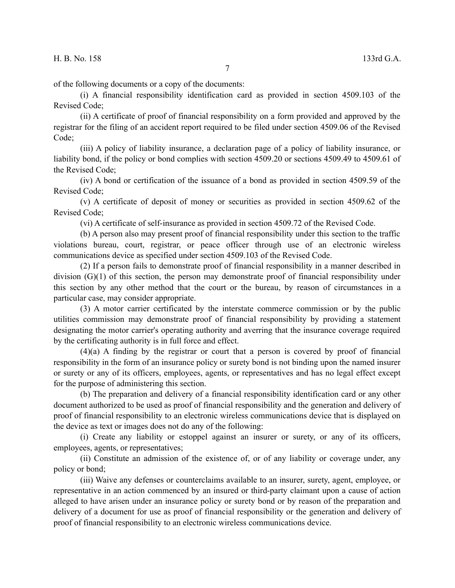of the following documents or a copy of the documents:

(i) A financial responsibility identification card as provided in section 4509.103 of the Revised Code;

(ii) A certificate of proof of financial responsibility on a form provided and approved by the registrar for the filing of an accident report required to be filed under section 4509.06 of the Revised Code;

(iii) A policy of liability insurance, a declaration page of a policy of liability insurance, or liability bond, if the policy or bond complies with section 4509.20 or sections 4509.49 to 4509.61 of the Revised Code;

(iv) A bond or certification of the issuance of a bond as provided in section 4509.59 of the Revised Code;

(v) A certificate of deposit of money or securities as provided in section 4509.62 of the Revised Code;

(vi) A certificate of self-insurance as provided in section 4509.72 of the Revised Code.

(b) A person also may present proof of financial responsibility under this section to the traffic violations bureau, court, registrar, or peace officer through use of an electronic wireless communications device as specified under section 4509.103 of the Revised Code.

(2) If a person fails to demonstrate proof of financial responsibility in a manner described in division (G)(1) of this section, the person may demonstrate proof of financial responsibility under this section by any other method that the court or the bureau, by reason of circumstances in a particular case, may consider appropriate.

(3) A motor carrier certificated by the interstate commerce commission or by the public utilities commission may demonstrate proof of financial responsibility by providing a statement designating the motor carrier's operating authority and averring that the insurance coverage required by the certificating authority is in full force and effect.

(4)(a) A finding by the registrar or court that a person is covered by proof of financial responsibility in the form of an insurance policy or surety bond is not binding upon the named insurer or surety or any of its officers, employees, agents, or representatives and has no legal effect except for the purpose of administering this section.

(b) The preparation and delivery of a financial responsibility identification card or any other document authorized to be used as proof of financial responsibility and the generation and delivery of proof of financial responsibility to an electronic wireless communications device that is displayed on the device as text or images does not do any of the following:

(i) Create any liability or estoppel against an insurer or surety, or any of its officers, employees, agents, or representatives;

(ii) Constitute an admission of the existence of, or of any liability or coverage under, any policy or bond;

(iii) Waive any defenses or counterclaims available to an insurer, surety, agent, employee, or representative in an action commenced by an insured or third-party claimant upon a cause of action alleged to have arisen under an insurance policy or surety bond or by reason of the preparation and delivery of a document for use as proof of financial responsibility or the generation and delivery of proof of financial responsibility to an electronic wireless communications device.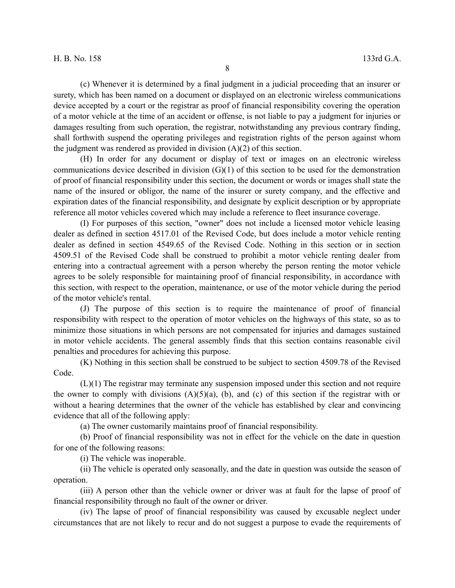(c) Whenever it is determined by a final judgment in a judicial proceeding that an insurer or surety, which has been named on a document or displayed on an electronic wireless communications device accepted by a court or the registrar as proof of financial responsibility covering the operation of a motor vehicle at the time of an accident or offense, is not liable to pay a judgment for injuries or damages resulting from such operation, the registrar, notwithstanding any previous contrary finding, shall forthwith suspend the operating privileges and registration rights of the person against whom the judgment was rendered as provided in division  $(A)(2)$  of this section.

(H) In order for any document or display of text or images on an electronic wireless communications device described in division  $(G)(1)$  of this section to be used for the demonstration of proof of financial responsibility under this section, the document or words or images shall state the name of the insured or obligor, the name of the insurer or surety company, and the effective and expiration dates of the financial responsibility, and designate by explicit description or by appropriate reference all motor vehicles covered which may include a reference to fleet insurance coverage.

(I) For purposes of this section, "owner" does not include a licensed motor vehicle leasing dealer as defined in section 4517.01 of the Revised Code, but does include a motor vehicle renting dealer as defined in section 4549.65 of the Revised Code. Nothing in this section or in section 4509.51 of the Revised Code shall be construed to prohibit a motor vehicle renting dealer from entering into a contractual agreement with a person whereby the person renting the motor vehicle agrees to be solely responsible for maintaining proof of financial responsibility, in accordance with this section, with respect to the operation, maintenance, or use of the motor vehicle during the period of the motor vehicle's rental.

(J) The purpose of this section is to require the maintenance of proof of financial responsibility with respect to the operation of motor vehicles on the highways of this state, so as to minimize those situations in which persons are not compensated for injuries and damages sustained in motor vehicle accidents. The general assembly finds that this section contains reasonable civil penalties and procedures for achieving this purpose.

(K) Nothing in this section shall be construed to be subject to section 4509.78 of the Revised Code.

(L)(1) The registrar may terminate any suspension imposed under this section and not require the owner to comply with divisions  $(A)(5)(a)$ ,  $(b)$ , and  $(c)$  of this section if the registrar with or without a hearing determines that the owner of the vehicle has established by clear and convincing evidence that all of the following apply:

(a) The owner customarily maintains proof of financial responsibility.

(b) Proof of financial responsibility was not in effect for the vehicle on the date in question for one of the following reasons:

(i) The vehicle was inoperable.

(ii) The vehicle is operated only seasonally, and the date in question was outside the season of operation.

(iii) A person other than the vehicle owner or driver was at fault for the lapse of proof of financial responsibility through no fault of the owner or driver.

(iv) The lapse of proof of financial responsibility was caused by excusable neglect under circumstances that are not likely to recur and do not suggest a purpose to evade the requirements of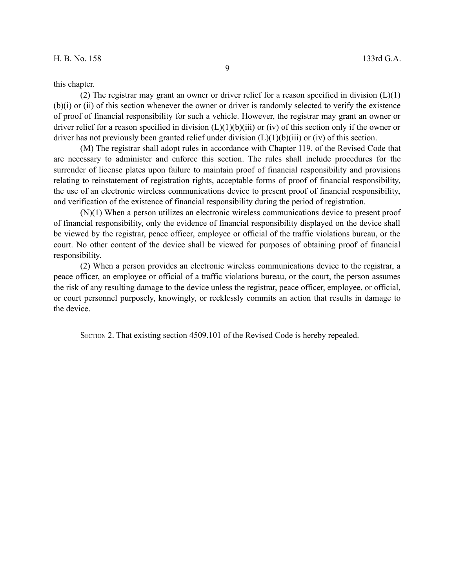this chapter.

(2) The registrar may grant an owner or driver relief for a reason specified in division  $(L)(1)$ (b)(i) or (ii) of this section whenever the owner or driver is randomly selected to verify the existence of proof of financial responsibility for such a vehicle. However, the registrar may grant an owner or driver relief for a reason specified in division  $(L)(1)(b)(iii)$  or (iv) of this section only if the owner or driver has not previously been granted relief under division  $(L)(1)(b)(iii)$  or (iv) of this section.

(M) The registrar shall adopt rules in accordance with Chapter 119. of the Revised Code that are necessary to administer and enforce this section. The rules shall include procedures for the surrender of license plates upon failure to maintain proof of financial responsibility and provisions relating to reinstatement of registration rights, acceptable forms of proof of financial responsibility, the use of an electronic wireless communications device to present proof of financial responsibility, and verification of the existence of financial responsibility during the period of registration.

(N)(1) When a person utilizes an electronic wireless communications device to present proof of financial responsibility, only the evidence of financial responsibility displayed on the device shall be viewed by the registrar, peace officer, employee or official of the traffic violations bureau, or the court. No other content of the device shall be viewed for purposes of obtaining proof of financial responsibility.

(2) When a person provides an electronic wireless communications device to the registrar, a peace officer, an employee or official of a traffic violations bureau, or the court, the person assumes the risk of any resulting damage to the device unless the registrar, peace officer, employee, or official, or court personnel purposely, knowingly, or recklessly commits an action that results in damage to the device.

SECTION 2. That existing section 4509.101 of the Revised Code is hereby repealed.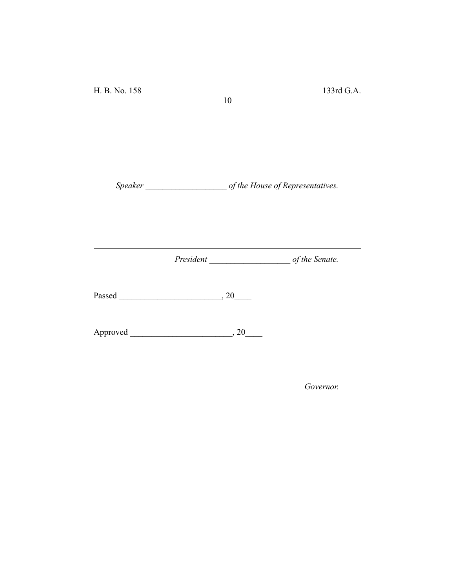*Speaker \_\_\_\_\_\_\_\_\_\_\_\_\_\_\_\_\_\_\_ of the House of Representatives.*

10

*President \_\_\_\_\_\_\_\_\_\_\_\_\_\_\_\_\_\_\_ of the Senate.*

Passed \_\_\_\_\_\_\_\_\_\_\_\_\_\_\_\_\_\_\_\_\_\_\_\_, 20\_\_\_\_

Approved \_\_\_\_\_\_\_\_\_\_\_\_\_\_\_\_\_\_\_\_\_\_\_\_, 20\_\_\_\_

*Governor.*